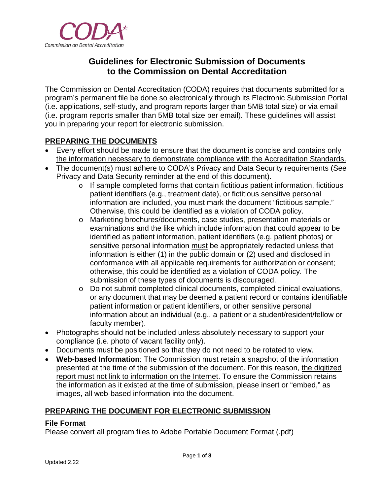

# **Guidelines for Electronic Submission of Documents to the Commission on Dental Accreditation**

The Commission on Dental Accreditation (CODA) requires that documents submitted for a program's permanent file be done so electronically through its Electronic Submission Portal (i.e. applications, self-study, and program reports larger than 5MB total size) or via email (i.e. program reports smaller than 5MB total size per email). These guidelines will assist you in preparing your report for electronic submission.

## **PREPARING THE DOCUMENTS**

- Every effort should be made to ensure that the document is concise and contains only the information necessary to demonstrate compliance with the Accreditation Standards.
- The document(s) must adhere to CODA's Privacy and Data Security requirements (See Privacy and Data Security reminder at the end of this document).
	- o If sample completed forms that contain fictitious patient information, fictitious patient identifiers (e.g., treatment date), or fictitious sensitive personal information are included, you must mark the document "fictitious sample." Otherwise, this could be identified as a violation of CODA policy.
	- o Marketing brochures/documents, case studies, presentation materials or examinations and the like which include information that could appear to be identified as patient information, patient identifiers (e.g. patient photos) or sensitive personal information must be appropriately redacted unless that information is either (1) in the public domain or (2) used and disclosed in conformance with all applicable requirements for authorization or consent; otherwise, this could be identified as a violation of CODA policy. The submission of these types of documents is discouraged.
	- o Do not submit completed clinical documents, completed clinical evaluations, or any document that may be deemed a patient record or contains identifiable patient information or patient identifiers, or other sensitive personal information about an individual (e.g., a patient or a student/resident/fellow or faculty member).
- Photographs should not be included unless absolutely necessary to support your compliance (i.e. photo of vacant facility only).
- Documents must be positioned so that they do not need to be rotated to view.
- **Web-based Information**: The Commission must retain a snapshot of the information presented at the time of the submission of the document. For this reason, the digitized report must not link to information on the Internet. To ensure the Commission retains the information as it existed at the time of submission, please insert or "embed," as images, all web-based information into the document.

## **PREPARING THE DOCUMENT FOR ELECTRONIC SUBMISSION**

#### **File Format**

Please convert all program files to Adobe Portable Document Format (.pdf)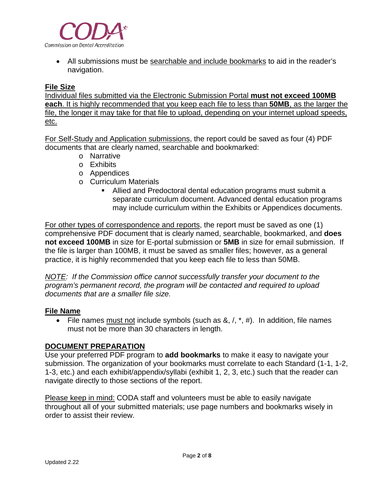

• All submissions must be searchable and include bookmarks to aid in the reader's navigation.

#### **File Size**

Individual files submitted via the Electronic Submission Portal **must not exceed 100MB each**. It is highly recommended that you keep each file to less than **50MB**, as the larger the file, the longer it may take for that file to upload, depending on your internet upload speeds, etc.

For Self-Study and Application submissions, the report could be saved as four (4) PDF documents that are clearly named, searchable and bookmarked:

- o Narrative
- o Exhibits
- o Appendices
- o Curriculum Materials
	- Allied and Predoctoral dental education programs must submit a separate curriculum document. Advanced dental education programs may include curriculum within the Exhibits or Appendices documents.

For other types of correspondence and reports, the report must be saved as one (1) comprehensive PDF document that is clearly named, searchable, bookmarked, and **does not exceed 100MB** in size for E-portal submission or **5MB** in size for email submission. If the file is larger than 100MB, it must be saved as smaller files; however, as a general practice, it is highly recommended that you keep each file to less than 50MB.

*NOTE: If the Commission office cannot successfully transfer your document to the program's permanent record, the program will be contacted and required to upload documents that are a smaller file size.*

#### **File Name**

• File names must not include symbols (such as  $\&, \wedge, *$ , #). In addition, file names must not be more than 30 characters in length.

#### **DOCUMENT PREPARATION**

Use your preferred PDF program to **add bookmarks** to make it easy to navigate your submission. The organization of your bookmarks must correlate to each Standard (1-1, 1-2, 1-3, etc.) and each exhibit/appendix/syllabi (exhibit 1, 2, 3, etc.) such that the reader can navigate directly to those sections of the report.

Please keep in mind: CODA staff and volunteers must be able to easily navigate throughout all of your submitted materials; use page numbers and bookmarks wisely in order to assist their review.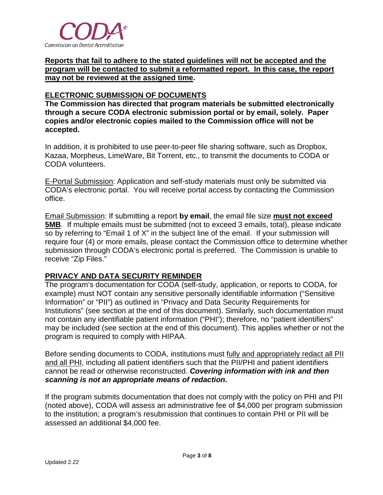

**Reports that fail to adhere to the stated guidelines will not be accepted and the program will be contacted to submit a reformatted report. In this case, the report may not be reviewed at the assigned time.** 

#### **ELECTRONIC SUBMISSION OF DOCUMENTS**

**The Commission has directed that program materials be submitted electronically through a secure CODA electronic submission portal or by email, solely. Paper copies and/or electronic copies mailed to the Commission office will not be accepted.** 

In addition, it is prohibited to use peer-to-peer file sharing software, such as Dropbox, Kazaa, Morpheus, LimeWare, Bit Torrent, etc., to transmit the documents to CODA or CODA volunteers.

E-Portal Submission: Application and self-study materials must only be submitted via CODA's electronic portal. You will receive portal access by contacting the Commission office.

Email Submission: If submitting a report **by email**, the email file size **must not exceed 5MB**. If multiple emails must be submitted (not to exceed 3 emails, total), please indicate so by referring to "Email 1 of X" in the subject line of the email. If your submission will require four (4) or more emails, please contact the Commission office to determine whether submission through CODA's electronic portal is preferred. The Commission is unable to receive "Zip Files."

#### **PRIVACY AND DATA SECURITY REMINDER**

The program's documentation for CODA (self-study, application, or reports to CODA, for example) must NOT contain any sensitive personally identifiable information ("Sensitive Information" or "PII") as outlined in "Privacy and Data Security Requirements for Institutions" (see section at the end of this document). Similarly, such documentation must not contain any identifiable patient information ("PHI"); therefore, no "patient identifiers" may be included (see section at the end of this document). This applies whether or not the program is required to comply with HIPAA.

Before sending documents to CODA, institutions must fully and appropriately redact all PII and all PHI, including all patient identifiers such that the PII/PHI and patient identifiers cannot be read or otherwise reconstructed. *Covering information with ink and then scanning is not an appropriate means of redaction.* 

If the program submits documentation that does not comply with the policy on PHI and PII (noted above), CODA will assess an administrative fee of \$4,000 per program submission to the institution; a program's resubmission that continues to contain PHI or PII will be assessed an additional \$4,000 fee.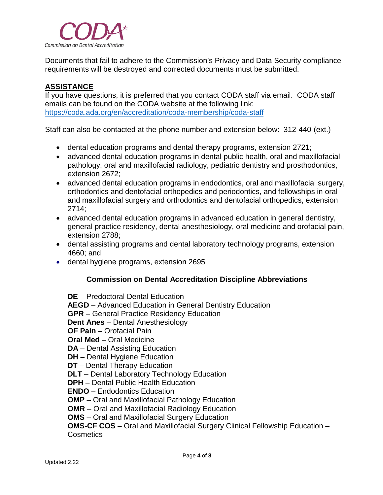

Documents that fail to adhere to the Commission's Privacy and Data Security compliance requirements will be destroyed and corrected documents must be submitted.

### **ASSISTANCE**

If you have questions, it is preferred that you contact CODA staff via email. CODA staff emails can be found on the CODA website at the following link: <https://coda.ada.org/en/accreditation/coda-membership/coda-staff>

Staff can also be contacted at the phone number and extension below: 312-440-(ext.)

- dental education programs and dental therapy programs, extension 2721;
- advanced dental education programs in dental public health, oral and maxillofacial pathology, oral and maxillofacial radiology, pediatric dentistry and prosthodontics, extension 2672;
- advanced dental education programs in endodontics, oral and maxillofacial surgery, orthodontics and dentofacial orthopedics and periodontics, and fellowships in oral and maxillofacial surgery and orthodontics and dentofacial orthopedics, extension 2714;
- advanced dental education programs in advanced education in general dentistry, general practice residency, dental anesthesiology, oral medicine and orofacial pain, extension 2788;
- dental assisting programs and dental laboratory technology programs, extension 4660; and
- dental hygiene programs, extension 2695

#### **Commission on Dental Accreditation Discipline Abbreviations**

**DE** – Predoctoral Dental Education **AEGD** – Advanced Education in General Dentistry Education **GPR** – General Practice Residency Education **Dent Anes** – Dental Anesthesiology **OF Pain –** Orofacial Pain **Oral Med** – Oral Medicine **DA** – Dental Assisting Education **DH** – Dental Hygiene Education **DT** – Dental Therapy Education **DLT** – Dental Laboratory Technology Education **DPH** – Dental Public Health Education **ENDO** – Endodontics Education **OMP** – Oral and Maxillofacial Pathology Education **OMR** – Oral and Maxillofacial Radiology Education **OMS** – Oral and Maxillofacial Surgery Education **OMS-CF COS** – Oral and Maxillofacial Surgery Clinical Fellowship Education – Cosmetics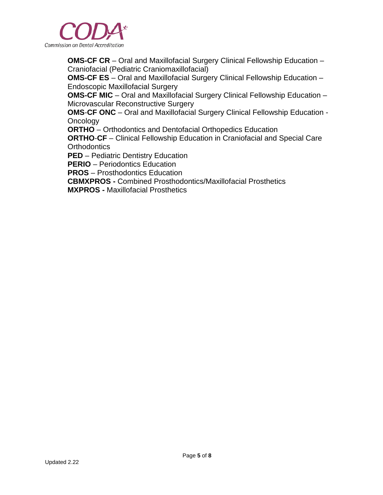

**OMS-CF CR** – Oral and Maxillofacial Surgery Clinical Fellowship Education – Craniofacial (Pediatric Craniomaxillofacial)

**OMS-CF ES** – Oral and Maxillofacial Surgery Clinical Fellowship Education – Endoscopic Maxillofacial Surgery

**OMS-CF MIC** – Oral and Maxillofacial Surgery Clinical Fellowship Education – Microvascular Reconstructive Surgery

**OMS**-**CF ONC** – Oral and Maxillofacial Surgery Clinical Fellowship Education - **Oncology** 

**ORTHO** – Orthodontics and Dentofacial Orthopedics Education

**ORTHO**-**CF** – Clinical Fellowship Education in Craniofacial and Special Care **Orthodontics** 

**PED** – Pediatric Dentistry Education

**PERIO** – Periodontics Education

**PROS** – Prosthodontics Education

**CBMXPROS -** Combined Prosthodontics/Maxillofacial Prosthetics

**MXPROS -** Maxillofacial Prosthetics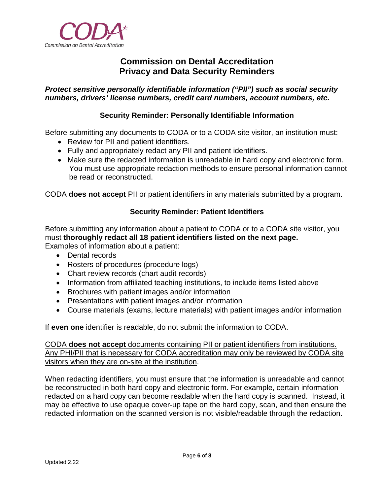

## **Commission on Dental Accreditation Privacy and Data Security Reminders**

#### *Protect sensitive personally identifiable information ("PII") such as social security numbers, drivers' license numbers, credit card numbers, account numbers, etc.*

#### **Security Reminder: Personally Identifiable Information**

Before submitting any documents to CODA or to a CODA site visitor, an institution must:

- Review for PII and patient identifiers.
- Fully and appropriately redact any PII and patient identifiers.
- Make sure the redacted information is unreadable in hard copy and electronic form. You must use appropriate redaction methods to ensure personal information cannot be read or reconstructed.

CODA **does not accept** PII or patient identifiers in any materials submitted by a program.

#### **Security Reminder: Patient Identifiers**

Before submitting any information about a patient to CODA or to a CODA site visitor, you must **thoroughly redact all 18 patient identifiers listed on the next page.** Examples of information about a patient:

- Dental records
- Rosters of procedures (procedure logs)
- Chart review records (chart audit records)
- Information from affiliated teaching institutions, to include items listed above
- Brochures with patient images and/or information
- Presentations with patient images and/or information
- Course materials (exams, lecture materials) with patient images and/or information

If **even one** identifier is readable, do not submit the information to CODA.

CODA **does not accept** documents containing PII or patient identifiers from institutions. Any PHI/PII that is necessary for CODA accreditation may only be reviewed by CODA site visitors when they are on-site at the institution.

When redacting identifiers, you must ensure that the information is unreadable and cannot be reconstructed in both hard copy and electronic form. For example, certain information redacted on a hard copy can become readable when the hard copy is scanned. Instead, it may be effective to use opaque cover-up tape on the hard copy, scan, and then ensure the redacted information on the scanned version is not visible/readable through the redaction.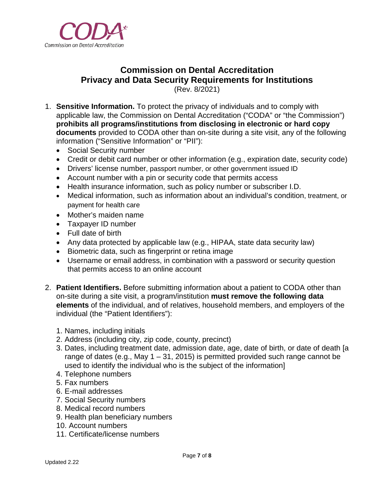

# **Commission on Dental Accreditation Privacy and Data Security Requirements for Institutions**

(Rev. 8/2021)

- 1. **Sensitive Information.** To protect the privacy of individuals and to comply with applicable law, the Commission on Dental Accreditation ("CODA" or "the Commission") **prohibits all programs/institutions from disclosing in electronic or hard copy documents** provided to CODA other than on-site during a site visit, any of the following information ("Sensitive Information" or "PII"):
	- Social Security number
	- Credit or debit card number or other information (e.g., expiration date, security code)
	- Drivers' license number, passport number, or other government issued ID
	- Account number with a pin or security code that permits access
	- Health insurance information, such as policy number or subscriber I.D.
	- Medical information, such as information about an individual's condition, treatment, or payment for health care
	- Mother's maiden name
	- Taxpayer ID number
	- Full date of birth
	- Any data protected by applicable law (e.g., HIPAA, state data security law)
	- Biometric data, such as fingerprint or retina image
	- Username or email address, in combination with a password or security question that permits access to an online account
- 2. **Patient Identifiers.** Before submitting information about a patient to CODA other than on-site during a site visit, a program/institution **must remove the following data elements** of the individual, and of relatives, household members, and employers of the individual (the "Patient Identifiers"):
	- 1. Names, including initials
	- 2. Address (including city, zip code, county, precinct)
	- 3. Dates, including treatment date, admission date, age, date of birth, or date of death [a range of dates (e.g., May  $1 - 31$ , 2015) is permitted provided such range cannot be used to identify the individual who is the subject of the information]
	- 4. Telephone numbers
	- 5. Fax numbers
	- 6. E-mail addresses
	- 7. Social Security numbers
	- 8. Medical record numbers
	- 9. Health plan beneficiary numbers
	- 10. Account numbers
	- 11. Certificate/license numbers